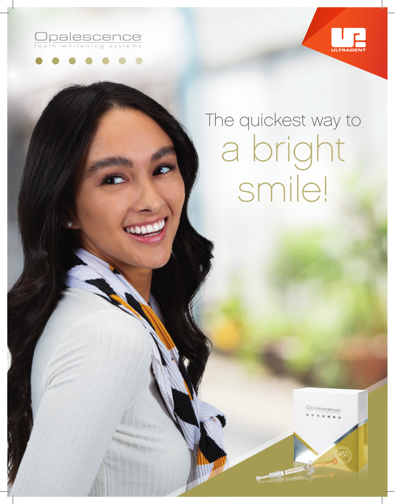





## The quickest way to a bright smile!

 $1 -$